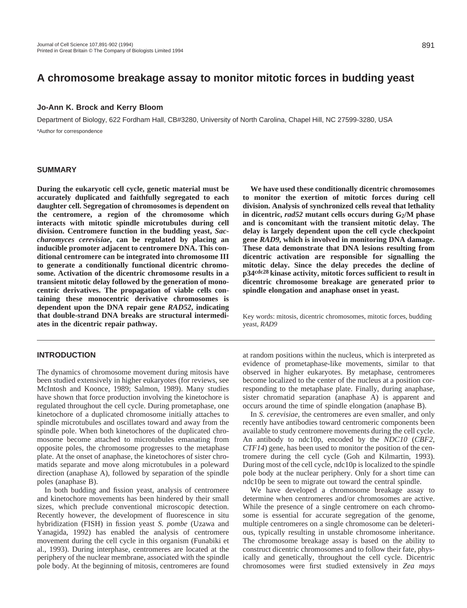# **A chromosome breakage assay to monitor mitotic forces in budding yeast**

### **Jo-Ann K. Brock and Kerry Bloom**

Department of Biology, 622 Fordham Hall, CB#3280, University of North Carolina, Chapel Hill, NC 27599-3280, USA \*Author for correspondence

### **SUMMARY**

**During the eukaryotic cell cycle, genetic material must be accurately duplicated and faithfully segregated to each daughter cell. Segregation of chromosomes is dependent on the centromere, a region of the chromosome which interacts with mitotic spindle microtubules during cell division. Centromere function in the budding yeast,** *Saccharomyces cerevisiae***, can be regulated by placing an inducible promoter adjacent to centromere DNA. This conditional centromere can be integrated into chromosome III to generate a conditionally functional dicentric chromosome. Activation of the dicentric chromosome results in a transient mitotic delay followed by the generation of monocentric derivatives. The propagation of viable cells containing these monocentric derivative chromosomes is dependent upon the DNA repair gene** *RAD52***, indicating that double-strand DNA breaks are structural intermediates in the dicentric repair pathway.** 

### **INTRODUCTION**

The dynamics of chromosome movement during mitosis have been studied extensively in higher eukaryotes (for reviews, see McIntosh and Koonce, 1989; Salmon, 1989). Many studies have shown that force production involving the kinetochore is regulated throughout the cell cycle. During prometaphase, one kinetochore of a duplicated chromosome initially attaches to spindle microtubules and oscillates toward and away from the spindle pole. When both kinetochores of the duplicated chromosome become attached to microtubules emanating from opposite poles, the chromosome progresses to the metaphase plate. At the onset of anaphase, the kinetochores of sister chromatids separate and move along microtubules in a poleward direction (anaphase A), followed by separation of the spindle poles (anaphase B).

In both budding and fission yeast, analysis of centromere and kinetochore movements has been hindered by their small sizes, which preclude conventional microscopic detection. Recently however, the development of fluorescence in situ hybridization (FISH) in fission yeast *S. pombe* (Uzawa and Yanagida, 1992) has enabled the analysis of centromere movement during the cell cycle in this organism (Funabiki et al., 1993). During interphase, centromeres are located at the periphery of the nuclear membrane, associated with the spindle pole body. At the beginning of mitosis, centromeres are found

**We have used these conditionally dicentric chromosomes to monitor the exertion of mitotic forces during cell division. Analysis of synchronized cells reveal that lethality in dicentric,** *rad52* **mutant cells occurs during G2/M phase and is concomitant with the transient mitotic delay. The delay is largely dependent upon the cell cycle checkpoint gene** *RAD9***, which is involved in monitoring DNA damage. These data demonstrate that DNA lesions resulting from dicentric activation are responsible for signalling the mitotic delay. Since the delay precedes the decline of p34cdc28 kinase activity, mitotic forces sufficient to result in dicentric chromosome breakage are generated prior to spindle elongation and anaphase onset in yeast.** 

Key words: mitosis, dicentric chromosomes, mitotic forces, budding yeast, *RAD9*

at random positions within the nucleus, which is interpreted as evidence of prometaphase-like movements, similar to that observed in higher eukaryotes. By metaphase, centromeres become localized to the center of the nucleus at a position corresponding to the metaphase plate. Finally, during anaphase, sister chromatid separation (anaphase A) is apparent and occurs around the time of spindle elongation (anaphase B).

In *S. cerevisiae*, the centromeres are even smaller, and only recently have antibodies toward centromeric components been available to study centromere movements during the cell cycle. An antibody to ndc10p, encoded by the *NDC10* (*CBF2*, *CTF14*) gene, has been used to monitor the position of the centromere during the cell cycle (Goh and Kilmartin, 1993). During most of the cell cycle, ndc10p is localized to the spindle pole body at the nuclear periphery. Only for a short time can ndc10p be seen to migrate out toward the central spindle.

We have developed a chromosome breakage assay to determine when centromeres and/or chromosomes are active. While the presence of a single centromere on each chromosome is essential for accurate segregation of the genome, multiple centromeres on a single chromosome can be deleterious, typically resulting in unstable chromosome inheritance. The chromosome breakage assay is based on the ability to construct dicentric chromosomes and to follow their fate, physically and genetically, throughout the cell cycle. Dicentric chromosomes were first studied extensively in *Zea mays*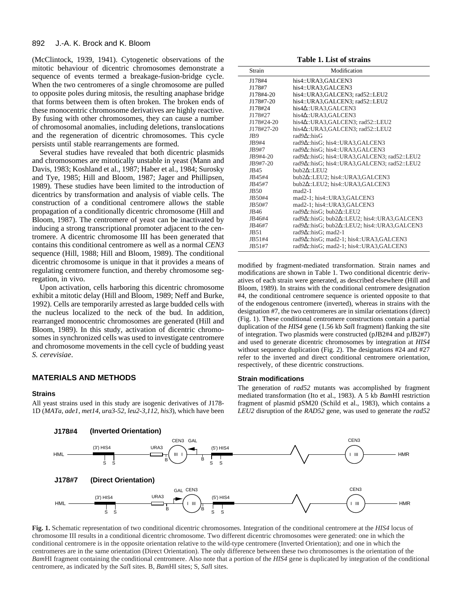(McClintock, 1939, 1941). Cytogenetic observations of the mitotic behaviour of dicentric chromosomes demonstrate a sequence of events termed a breakage-fusion-bridge cycle. When the two centromeres of a single chromosome are pulled to opposite poles during mitosis, the resulting anaphase bridge that forms between them is often broken. The broken ends of these monocentric chromosome derivatives are highly reactive. By fusing with other chromosomes, they can cause a number of chromosomal anomalies, including deletions, translocations and the regeneration of dicentric chromosomes. This cycle persists until stable rearrangements are formed.

Several studies have revealed that both dicentric plasmids and chromosomes are mitotically unstable in yeast (Mann and Davis, 1983; Koshland et al., 1987; Haber et al., 1984; Surosky and Tye, 1985; Hill and Bloom, 1987; Jager and Phillipsen, 1989). These studies have been limited to the introduction of dicentrics by transformation and analysis of viable cells. The construction of a conditional centromere allows the stable propagation of a conditionally dicentric chromosome (Hill and Bloom, 1987). The centromere of yeast can be inactivated by inducing a strong transcriptional promoter adjacent to the centromere. A dicentric chromosome III has been generated that contains this conditional centromere as well as a normal *CEN3* sequence (Hill, 1988; Hill and Bloom, 1989). The conditional dicentric chromosome is unique in that it provides a means of regulating centromere function, and thereby chromosome segregation, in vivo.

Upon activation, cells harboring this dicentric chromosome exhibit a mitotic delay (Hill and Bloom, 1989; Neff and Burke, 1992). Cells are temporarily arrested as large budded cells with the nucleus localized to the neck of the bud. In addition, rearranged monocentric chromosomes are generated (Hill and Bloom, 1989). In this study, activation of dicentric chromosomes in synchronized cells was used to investigate centromere and chromosome movements in the cell cycle of budding yeast *S. cerevisiae*.

## **MATERIALS AND METHODS**

### **Strains**

All yeast strains used in this study are isogenic derivatives of J178- 1D (*MATa*, *ade1*, *met14*, *ura3-52*, *leu2-3*,*112*, *his3*), which have been

**Table 1. List of strains**

| Strain           | Modification                                                   |
|------------------|----------------------------------------------------------------|
| J178#4           | his4::URA3,GALCEN3                                             |
| J178#7           | his4::URA3,GALCEN3                                             |
| J178#4-20        | his4::URA3,GALCEN3; rad52::LEU2                                |
| J178#7-20        | his4::URA3,GALCEN3; rad52::LEU2                                |
| J178#24          | his4 $\Delta$ ::URA3,GALCEN3                                   |
| J178#27          | his4 $\Delta$ ::URA3.GALCEN3                                   |
| J178#24-20       | his4 $\Delta$ ::URA3,GALCEN3; rad52::LEU2                      |
| J178#27-20       | his4 $\Delta$ ::URA3,GALCEN3; rad52::LEU2                      |
| JB9              | rad9A: hisG                                                    |
| JB9#4            | rad9 $\Delta$ ::hisG; his4::URA3,GALCEN3                       |
| JB9#7            | rad9 $\Delta$ ::hisG; his4::URA3,GALCEN3                       |
| JB9#4-20         | rad9 $\triangle$ ::hisG; his4::URA3,GALCEN3; rad52::LEU2       |
| JB9#7-20         | rad9 $\triangle$ ::hisG; his4::URA3,GALCEN3; rad52::LEU2       |
| JB45             | $buh2A \cdot LEL12$                                            |
| JB45#4           | bub2 $\Delta$ ::LEU2; his4::URA3,GALCEN3                       |
| JB45#7           | bub2 $\Delta$ ::LEU2; his4::URA3,GALCEN3                       |
| JB <sub>50</sub> | $mad2-1$                                                       |
| JB50#4           | mad2-1; his4::URA3,GALCEN3                                     |
| JB50#7           | mad2-1; his4::URA3,GALCEN3                                     |
| JB46             | rad9 $\Delta$ ::hisG; bub2 $\Delta$ ::LEU2                     |
| JB46#4           | rad9 $\Delta$ ::hisG; bub2 $\Delta$ ::LEU2; his4::URA3,GALCEN3 |
| JB46#7           | rad9 $\Delta$ ::hisG; bub2 $\Delta$ ::LEU2; his4::URA3,GALCEN3 |
| JB51             | rad9 $\Delta$ ::hisG; mad2-1                                   |
| JB51#4           | rad9 $\Delta$ ::hisG; mad2-1; his4::URA3,GALCEN3               |
| JB51#7           | rad9 $\Delta$ ::hisG; mad2-1; his4::URA3,GALCEN3               |
|                  |                                                                |

modified by fragment-mediated transformation. Strain names and modifications are shown in Table 1. Two conditional dicentric derivatives of each strain were generated, as described elsewhere (Hill and Bloom, 1989). In strains with the conditional centromere designation #4, the conditional centromere sequence is oriented opposite to that of the endogenous centromere (inverted), whereas in strains with the designation #7, the two centromeres are in similar orientations (direct) (Fig. 1). These conditional centromere constructions contain a partial duplication of the *HIS4* gene (1.56 kb *Sal*I fragment) flanking the site of integration. Two plasmids were constructed (pJB2#4 and pJB2#7) and used to generate dicentric chromosomes by integration at *HIS4* without sequence duplication (Fig. 2). The designations #24 and #27 refer to the inverted and direct conditional centromere orientation, respectively, of these dicentric constructions.

#### **Strain modifications**

The generation of *rad52* mutants was accomplished by fragment mediated transformation (Ito et al., 1983). A 5 kb *Bam*HI restriction fragment of plasmid pSM20 (Schild et al., 1983), which contains a *LEU2* disruption of the *RAD52* gene, was used to generate the *rad52*



**Fig. 1.** Schematic representation of two conditional dicentric chromosomes. Integration of the conditional centromere at the *HIS4* locus of chromosome III results in a conditional dicentric chromosome. Two different dicentric chromosomes were generated: one in which the conditional centromere is in the opposite orientation relative to the wild-type centromere (Inverted Orientation); and one in which the centromeres are in the same orientation (Direct Orientation). The only difference between these two chromosomes is the orientation of the *Bam*HI fragment containing the conditional centromere. Also note that a portion of the *HIS4* gene is duplicated by integration of the conditional centromere, as indicated by the *Sal*I sites. B, *Bam*HI sites; S, *Sal*I sites.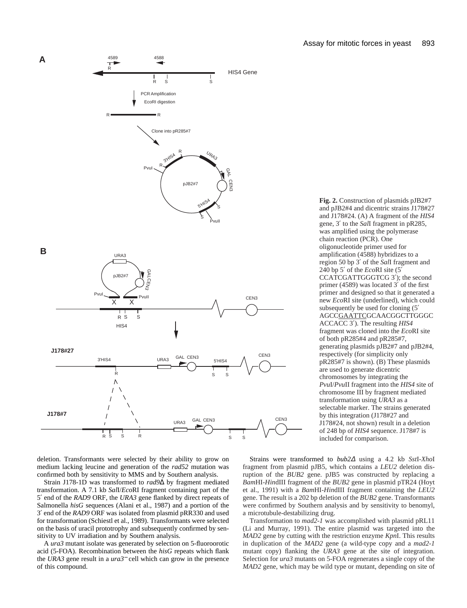

**Fig. 2.** Construction of plasmids pJB2#7 and pJB2#4 and dicentric strains J178#27 and J178#24. (A) A fragment of the *HIS4* gene, 3′ to the *Sal*I fragment in pR285, was amplified using the polymerase chain reaction (PCR). One oligonucleotide primer used for amplification (4588) hybridizes to a region 50 bp 3′ of the *Sal*I fragment and 240 bp 5′ of the *Eco*RI site (5′ CCATCGATTGGGTCG 3′); the second primer (4589) was located 3′ of the first primer and designed so that it generated a new *Eco*RI site (underlined), which could subsequently be used for cloning (5′ AGCCGAATTCGCAACGGCTTGGGC ACCACC 3′). The resulting *HIS4* fragment was cloned into the *Eco*RI site of both pR285#4 and pR285#7, generating plasmids pJB2#7 and pJB2#4, respectively (for simplicity only pR285#7 is shown). (B) These plasmids are used to generate dicentric chromosomes by integrating the *Pvu*I/*Pvu*II fragment into the *HIS4* site of chromosome III by fragment mediated transformation using *URA3* as a selectable marker. The strains generated by this integration (J178#27 and J178#24, not shown) result in a deletion of 248 bp of *HIS4* sequence. J178#7 is included for comparison.

deletion. Transformants were selected by their ability to grow on medium lacking leucine and generation of the *rad52* mutation was confirmed both by sensitivity to MMS and by Southern analysis.

Strain J178-1D was transformed to *rad9*∆ by fragment mediated transformation. A 7.1 kb *Sal*I/*Eco*RI fragment containing part of the 5′ end of the *RAD9* ORF, the *URA3* gene flanked by direct repeats of Salmonella *hisG* sequences (Alani et al., 1987) and a portion of the 3′ end of the *RAD9* ORF was isolated from plasmid pRR330 and used for transformation (Schiestl et al., 1989). Transformants were selected on the basis of uracil prototrophy and subsequently confirmed by sensitivity to UV irradiation and by Southern analysis.

A *ura3* mutant isolate was generated by selection on 5-fluoroorotic acid (5-FOA). Recombination between the *hisG* repeats which flank the *URA3* gene result in a *ura3*<sup>−</sup> cell which can grow in the presence of this compound.

Strains were transformed to *bub2*<sup>∆</sup> using a 4.2 kb *Sst*I-*Xho*I fragment from plasmid pJB5, which contains a *LEU2* deletion disruption of the *BUB2* gene. pJB5 was constructed by replacing a *Bam*HI-*Hin*dIII fragment of the *BUB2* gene in plasmid pTR24 (Hoyt et al., 1991) with a *Bam*HI-*Hin*dIII fragment containing the *LEU2* gene. The result is a 202 bp deletion of the *BUB2* gene. Transformants were confirmed by Southern analysis and by sensitivity to benomyl, a microtubule-destabilizing drug.

Transformation to *mad2-1* was accomplished with plasmid pRL11 (Li and Murray, 1991). The entire plasmid was targeted into the *MAD2* gene by cutting with the restriction enzyme *Kpn*I. This results in duplication of the *MAD2* gene (a wild-type copy and a *mad2-1* mutant copy) flanking the *URA3* gene at the site of integration. Selection for *ura3* mutants on 5-FOA regenerates a single copy of the *MAD2* gene, which may be wild type or mutant, depending on site of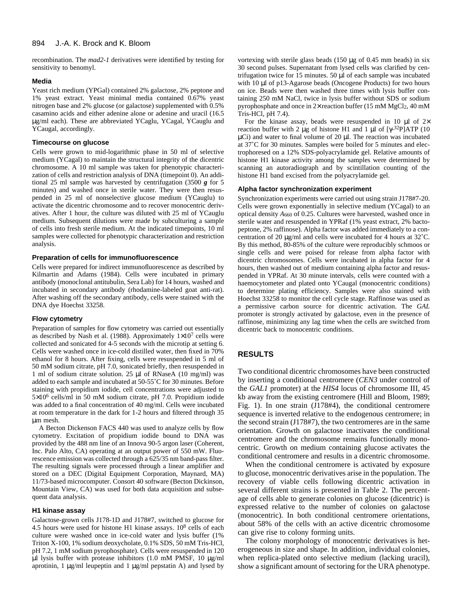recombination. The *mad2-1* derivatives were identified by testing for sensitivity to benomyl.

#### **Media**

Yeast rich medium (YPGal) contained 2% galactose, 2% peptone and 1% yeast extract. Yeast minimal media contained 0.67% yeast nitrogen base and 2% glucose (or galactose) supplemented with 0.5% casamino acids and either adenine alone or adenine and uracil (16.5 µg/ml each). These are abbreviated YCaglu, YCagal, YCauglu and YCaugal, accordingly.

#### **Timecourse on glucose**

Cells were grown to mid-logarithmic phase in 50 ml of selective medium (YCagal) to maintain the structural integrity of the dicentric chromosome. A 10 ml sample was taken for phenotypic characterization of cells and restriction analysis of DNA (timepoint 0). An additional 25 ml sample was harvested by centrifugation (3500 *g* for 5 minutes) and washed once in sterile water. They were then resuspended in 25 ml of nonselective glucose medium (YCauglu) to activate the dicentric chromosome and to recover monocentric derivatives. After 1 hour, the culture was diluted with 25 ml of YCauglu medium. Subsequent dilutions were made by subculturing a sample of cells into fresh sterile medium. At the indicated timepoints, 10 ml samples were collected for phenotypic characterization and restriction analysis.

#### **Preparation of cells for immunofluorescence**

Cells were prepared for indirect immunofluorescence as described by Kilmartin and Adams (1984). Cells were incubated in primary antibody (monoclonal antitubulin, Sera Lab) for 14 hours, washed and incubated in secondary antibody (rhodamine-labeled goat anti-rat). After washing off the secondary antibody, cells were stained with the DNA dye Hoechst 33258.

#### **Flow cytometry**

Preparation of samples for flow cytometry was carried out essentially as described by Nash et al. (1988). Approximately  $1 \times 10^7$  cells were collected and sonicated for 4-5 seconds with the microtip at setting 6. Cells were washed once in ice-cold distilled water, then fixed in 70% ethanol for 8 hours. After fixing, cells were resuspended in 5 ml of 50 mM sodium citrate, pH 7.0, sonicated briefly, then resuspended in 1 ml of sodium citrate solution. 25 µl of RNaseA (10 mg/ml) was added to each sample and incubated at 50-55˚C for 30 minutes. Before staining with propidium iodide, cell concentrations were adjusted to 5×106 cells/ml in 50 mM sodium citrate, pH 7.0. Propidium iodide was added to a final concentration of 40 mg/ml. Cells were incubated at room temperature in the dark for 1-2 hours and filtered through 35 µm mesh.

A Becton Dickenson FACS 440 was used to analyze cells by flow cytometry. Excitation of propidium iodide bound to DNA was provided by the 488 nm line of an Innova 90-5 argon laser (Coherent, Inc. Palo Alto, CA) operating at an output power of 550 mW. Fluorescence emission was collected through a 625/35 nm band-pass filter. The resulting signals were processed through a linear amplifier and stored on a DEC (Digital Equipment Corporation, Maynard, MA) 11/73-based microcomputer. Consort 40 software (Becton Dickinson, Mountain View, CA) was used for both data acquisition and subsequent data analysis.

#### **H1 kinase assay**

Galactose-grown cells J178-1D and J178#7, switched to glucose for 4.5 hours were used for histone H1 kinase assays. 10<sup>8</sup> cells of each culture were washed once in ice-cold water and lysis buffer (1% Triton X-100, 1% sodium deoxycholate, 0.1% SDS, 50 mM Tris-HCl, pH 7.2, 1 mM sodium pyrophosphate). Cells were resuspended in 120  $\mu$ l lysis buffer with protease inhibitors (1.0 mM PMSF, 10  $\mu$ g/ml aprotinin, 1  $\mu$ g/ml leupeptin and 1  $\mu$ g/ml pepstatin A) and lysed by vortexing with sterile glass beads (150 µg of 0.45 mm beads) in six 30 second pulses. Supernatant from lysed cells was clarified by centrifugation twice for 15 minutes. 50 µl of each sample was incubated with 10 µl of p13-Agarose beads (Oncogene Products) for two hours on ice. Beads were then washed three times with lysis buffer containing 250 mM NaCl, twice in lysis buffer without SDS or sodium pyrophosphate and once in 2× reaction buffer (15 mM MgCl2, 40 mM Tris-HCl, pH 7.4).

For the kinase assay, beads were resuspended in 10  $\mu$ l of 2 $\times$ reaction buffer with 2 µg of histone H1 and 1 µl of  $[\gamma$ -<sup>32</sup>P]ATP (10  $\mu$ Ci) and water to final volume of 20  $\mu$ l. The reaction was incubated at 37˚C for 30 minutes. Samples were boiled for 5 minutes and electrophoresed on a 12% SDS-polyacrylamide gel. Relative amounts of histone H1 kinase activity among the samples were determined by scanning an autoradiograph and by scintillation counting of the histone H1 band excised from the polyacrylamide gel.

#### **Alpha factor synchronization experiment**

Synchronization experiments were carried out using strain J178#7-20. Cells were grown exponentially in selective medium (YCagal) to an optical density *A*660 of 0.25. Cultures were harvested, washed once in sterile water and resuspended in YPRaf (1% yeast extract, 2% bactopeptone, 2% raffinose). Alpha factor was added immediately to a concentration of 20 µg/ml and cells were incubated for 4 hours at 32˚C. By this method, 80-85% of the culture were reproducibly schmoos or single cells and were poised for release from alpha factor with dicentric chromosomes. Cells were incubated in alpha factor for 4 hours, then washed out of medium containing alpha factor and resuspended in YPRaf. At 30 minute intervals, cells were counted with a haemocytometer and plated onto YCaugal (monocentric conditions) to determine plating efficiency. Samples were also stained with Hoechst 33258 to monitor the cell cycle stage. Raffinose was used as a permissive carbon source for dicentric activation. The *GAL* promoter is strongly activated by galactose, even in the presence of raffinose, minimizing any lag time when the cells are switched from dicentric back to monocentric conditions.

### **RESULTS**

Two conditional dicentric chromosomes have been constructed by inserting a conditional centromere (*CEN3* under control of the *GAL1* promoter) at the *HIS4* locus of chromosome III, 45 kb away from the existing centromere (Hill and Bloom, 1989; Fig. 1). In one strain (J178#4), the conditional centromere sequence is inverted relative to the endogenous centromere; in the second strain (J178#7), the two centromeres are in the same orientation. Growth on galactose inactivates the conditional centromere and the chromosome remains functionally monocentric. Growth on medium containing glucose activates the conditional centromere and results in a dicentric chromosome.

When the conditional centromere is activated by exposure to glucose, monocentric derivatives arise in the population. The recovery of viable cells following dicentric activation in several different strains is presented in Table 2. The percentage of cells able to generate colonies on glucose (dicentric) is expressed relative to the number of colonies on galactose (monocentric). In both conditional centromere orientations, about 58% of the cells with an active dicentric chromosome can give rise to colony forming units.

The colony morphology of monocentric derivatives is heterogeneous in size and shape. In addition, individual colonies, when replica-plated onto selective medium (lacking uracil), show a significant amount of sectoring for the URA phenotype.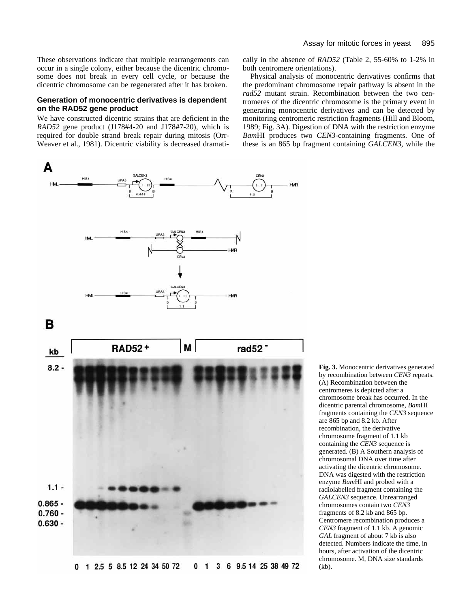These observations indicate that multiple rearrangements can occur in a single colony, either because the dicentric chromosome does not break in every cell cycle, or because the dicentric chromosome can be regenerated after it has broken.

### **Generation of monocentric derivatives is dependent on the RAD52 gene product**

We have constructed dicentric strains that are deficient in the *RAD52* gene product (J178#4-20 and J178#7-20), which is required for double strand break repair during mitosis (Orr-Weaver et al., 1981). Dicentric viability is decreased dramatically in the absence of *RAD52* (Table 2, 55-60% to 1-2% in both centromere orientations).

Physical analysis of monocentric derivatives confirms that the predominant chromosome repair pathway is absent in the *rad52* mutant strain. Recombination between the two centromeres of the dicentric chromosome is the primary event in generating monocentric derivatives and can be detected by monitoring centromeric restriction fragments (Hill and Bloom, 1989; Fig. 3A). Digestion of DNA with the restriction enzyme *Bam*HI produces two *CEN3*-containing fragments. One of these is an 865 bp fragment containing *GALCEN3*, while the



**Fig. 3.** Monocentric derivatives generated by recombination between *CEN3* repeats. (A) Recombination between the centromeres is depicted after a chromosome break has occurred. In the dicentric parental chromosome, *Bam*HI fragments containing the *CEN3* sequence are 865 bp and 8.2 kb. After recombination, the derivative chromosome fragment of 1.1 kb containing the *CEN3* sequence is generated. (B) A Southern analysis of chromosomal DNA over time after activating the dicentric chromosome. DNA was digested with the restriction enzyme *Bam*HI and probed with a radiolabelled fragment containing the *GALCEN3* sequence. Unrearranged chromosomes contain two *CEN3* fragments of 8.2 kb and 865 bp. Centromere recombination produces a *CEN3* fragment of 1.1 kb. A genomic *GAL* fragment of about 7 kb is also detected. Numbers indicate the time, in hours, after activation of the dicentric chromosome. M, DNA size standards (kb).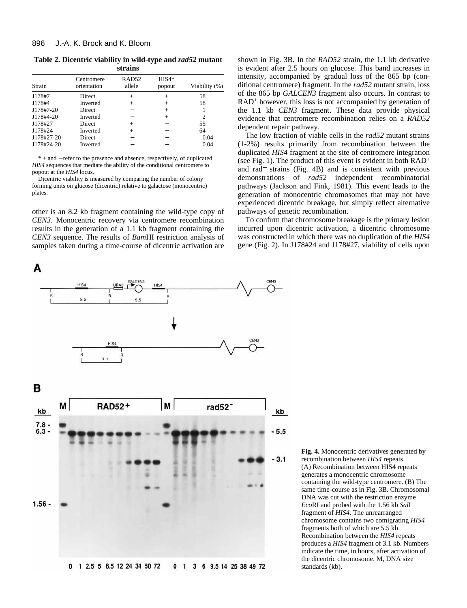**Table 2. Dicentric viability in wild-type and** *rad52* **mutant strains**

| Strain     | Centromere<br>orientation | RAD52<br>allele | $HIS4*$<br>popout | Viability (%) |
|------------|---------------------------|-----------------|-------------------|---------------|
| J178#7     | <b>Direct</b>             | $^{+}$          | $^{+}$            | 58            |
| J178#4     | Inverted                  | $^{+}$          | $^{+}$            | 58            |
| J178#7-20  | <b>Direct</b>             |                 | $^{+}$            |               |
| J178#4-20  | Inverted                  |                 | $^{+}$            | 2             |
| J178#27    | <b>Direct</b>             | $^{+}$          |                   | 55            |
| J178#24    | Inverted                  | $^{+}$          |                   | 64            |
| J178#27-20 | Direct                    |                 |                   | 0.04          |
| J178#24-20 | Inverted                  |                 |                   | 0.04          |
|            |                           |                 |                   |               |

\* + and − refer to the presence and absence, respectively, of duplicated *HIS4* sequences that mediate the ability of the conditional centromere to popout at the *HIS4* locus.

Dicentric viability is measured by comparing the number of colony forming units on glucose (dicentric) relative to galactose (monocentric) plates.

other is an 8.2 kb fragment containing the wild-type copy of *CEN3*. Monocentric recovery via centromere recombination results in the generation of a 1.1 kb fragment containing the *CEN3* sequence. The results of *Bam*HI restriction analysis of samples taken during a time-course of dicentric activation are



shown in Fig. 3B. In the *RAD52* strain, the 1.1 kb derivative is evident after 2.5 hours on glucose. This band increases in intensity, accompanied by gradual loss of the 865 bp (conditional centromere) fragment. In the *rad52* mutant strain, loss of the 865 bp *GALCEN3* fragment also occurs. In contrast to RAD<sup>+</sup> however, this loss is not accompanied by generation of the 1.1 kb *CEN3* fragment. These data provide physical evidence that centromere recombination relies on a *RAD52* dependent repair pathway.

The low fraction of viable cells in the *rad52* mutant strains (1-2%) results primarily from recombination between the duplicated *HIS4* fragment at the site of centromere integration (see Fig. 1). The product of this event is evident in both RAD+ and rad<sup>−</sup> strains (Fig. 4B) and is consistent with previous demonstrations of *rad52* independent recombinatorial pathways (Jackson and Fink, 1981). This event leads to the generation of monocentric chromosomes that may not have experienced dicentric breakage, but simply reflect alternative pathways of genetic recombination.

To confirm that chromosome breakage is the primary lesion incurred upon dicentric activation, a dicentric chromosome was constructed in which there was no duplication of the *HIS4* gene (Fig. 2). In J178#24 and J178#27, viability of cells upon

> **Fig. 4.** Monocentric derivatives generated by recombination between *HIS4* repeats. (A) Recombination between HIS4 repeats generates a monocentric chromosome containing the wild-type centromere. (B) The same time-course as in Fig. 3B. Chromosomal DNA was cut with the restriction enzyme *Eco*RI and probed with the 1.56 kb *Sal*I fragment of *HIS4*. The unrearranged chromosome contains two comigrating *HIS4* fragments both of which are 5.5 kb. Recombination between the *HIS4* repeats produces a *HIS4* fragment of 3.1 kb. Numbers indicate the time, in hours, after activation of the dicentric chromosome. M, DNA size standards (kb).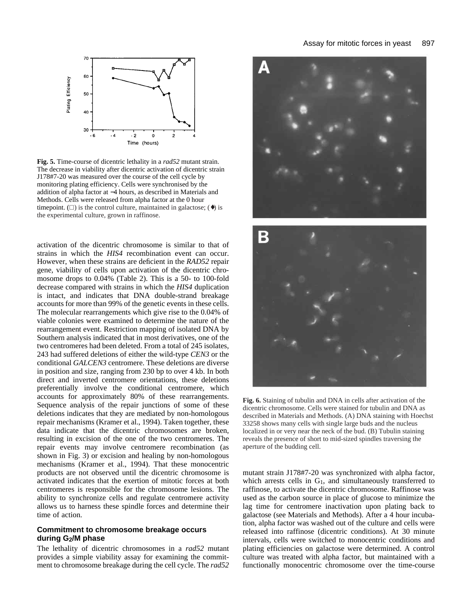

 $70$ 

60

**Fig. 5.** Time-course of dicentric lethality in a *rad52* mutant strain. The decrease in viability after dicentric activation of dicentric strain J178#7-20 was measured over the course of the cell cycle by monitoring plating efficiency. Cells were synchronised by the addition of alpha factor at −4 hours, as described in Materials and Methods. Cells were released from alpha factor at the 0 hour time point.  $(\Box)$  is the control culture, maintained in galactose; ( $\blacklozenge$ ) is the experimental culture, grown in raffinose.

activation of the dicentric chromosome is similar to that of strains in which the *HIS4* recombination event can occur. However, when these strains are deficient in the *RAD52* repair gene, viability of cells upon activation of the dicentric chromosome drops to 0.04% (Table 2). This is a 50- to 100-fold decrease compared with strains in which the *HIS4* duplication is intact, and indicates that DNA double-strand breakage accounts for more than 99% of the genetic events in these cells. The molecular rearrangements which give rise to the 0.04% of viable colonies were examined to determine the nature of the rearrangement event. Restriction mapping of isolated DNA by Southern analysis indicated that in most derivatives, one of the two centromeres had been deleted. From a total of 245 isolates, 243 had suffered deletions of either the wild-type *CEN3* or the conditional *GALCEN3* centromere. These deletions are diverse in position and size, ranging from 230 bp to over 4 kb. In both direct and inverted centromere orientations, these deletions preferentially involve the conditional centromere, which accounts for approximately 80% of these rearrangements. Sequence analysis of the repair junctions of some of these deletions indicates that they are mediated by non-homologous repair mechanisms (Kramer et al., 1994). Taken together, these data indicate that the dicentric chromosomes are broken, resulting in excision of the one of the two centromeres. The repair events may involve centromere recombination (as shown in Fig. 3) or excision and healing by non-homologous mechanisms (Kramer et al., 1994). That these monocentric products are not observed until the dicentric chromosome is activated indicates that the exertion of mitotic forces at both centromeres is responsible for the chromosome lesions. The ability to synchronize cells and regulate centromere activity allows us to harness these spindle forces and determine their time of action.

### **Commitment to chromosome breakage occurs during G2/M phase**

The lethality of dicentric chromosomes in a *rad52* mutant provides a simple viability assay for examining the commitment to chromosome breakage during the cell cycle. The *rad52*



**Fig. 6.** Staining of tubulin and DNA in cells after activation of the dicentric chromosome. Cells were stained for tubulin and DNA as described in Materials and Methods. (A) DNA staining with Hoechst 33258 shows many cells with single large buds and the nucleus localized in or very near the neck of the bud. (B) Tubulin staining reveals the presence of short to mid-sized spindles traversing the aperture of the budding cell.

mutant strain J178#7-20 was synchronized with alpha factor, which arrests cells in  $G_1$ , and simultaneously transferred to raffinose, to activate the dicentric chromosome. Raffinose was used as the carbon source in place of glucose to minimize the lag time for centromere inactivation upon plating back to galactose (see Materials and Methods). After a 4 hour incubation, alpha factor was washed out of the culture and cells were released into raffinose (dicentric conditions). At 30 minute intervals, cells were switched to monocentric conditions and plating efficiencies on galactose were determined. A control culture was treated with alpha factor, but maintained with a functionally monocentric chromosome over the time-course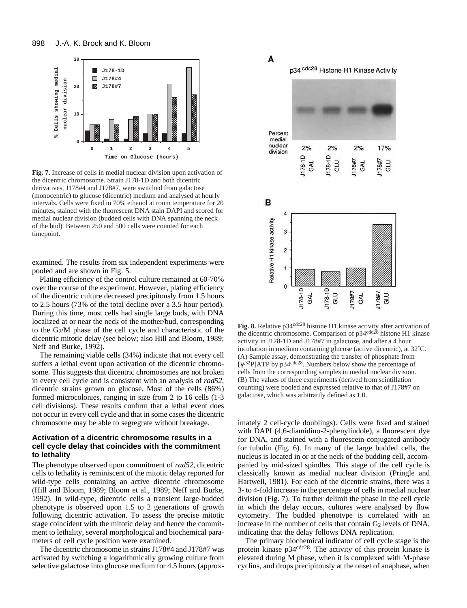

**Fig. 7.** Increase of cells in medial nuclear division upon activation of the dicentric chromosome. Strain J178-1D and both dicentric derivatives, J178#4 and J178#7, were switched from galactose (monocentric) to glucose (dicentric) medium and analysed at hourly intervals. Cells were fixed in 70% ethanol at room temperature for 20 minutes, stained with the fluorescent DNA stain DAPI and scored for medial nuclear division (budded cells with DNA spanning the neck of the bud). Between 250 and 500 cells were counted for each timepoint.

examined. The results from six independent experiments were pooled and are shown in Fig. 5.

Plating efficiency of the control culture remained at 60-70% over the course of the experiment. However, plating efficiency of the dicentric culture decreased precipitously from 1.5 hours to 2.5 hours (73% of the total decline over a 3.5 hour period). During this time, most cells had single large buds, with DNA localized at or near the neck of the mother/bud, corresponding to the G2/M phase of the cell cycle and characteristic of the dicentric mitotic delay (see below; also Hill and Bloom, 1989; Neff and Burke, 1992).

The remaining viable cells (34%) indicate that not every cell suffers a lethal event upon activation of the dicentric chromosome. This suggests that dicentric chromosomes are not broken in every cell cycle and is consistent with an analysis of *rad52*, dicentric strains grown on glucose. Most of the cells (86%) formed microcolonies, ranging in size from 2 to 16 cells (1-3 cell divisions). These results confirm that a lethal event does not occur in every cell cycle and that in some cases the dicentric chromosome may be able to segregrate without breakage.

### **Activation of a dicentric chromosome results in a cell cycle delay that coincides with the commitment to lethality**

The phenotype observed upon commitment of *rad52*, dicentric cells to lethality is reminiscent of the mitotic delay reported for wild-type cells containing an active dicentric chromosome (Hill and Bloom, 1989; Bloom et al., 1989; Neff and Burke, 1992). In wild-type, dicentric cells a transient large-budded phenotype is observed upon 1.5 to 2 generations of growth following dicentric activation. To assess the precise mitotic stage coincident with the mitotic delay and hence the commitment to lethality, several morphological and biochemical parameters of cell cycle position were examined.

The dicentric chromosome in strains J178#4 and J178#7 was activated by switching a logarithmically growing culture from selective galactose into glucose medium for 4.5 hours (approx-



Fig. 8. Relative p34<sup>cdc28</sup> histone H1 kinase activity after activation of the dicentric chromosome. Comparison of p34<sup>cdc28</sup> histone H1 kinase activity in J178-1D and J178#7 in galactose, and after a 4 hour incubation in medium containing glucose (active dicentric), at 32˚C. (A) Sample assay, demonstrating the transfer of phosphate from  $[\gamma^{32}P]$ ATP by p34<sup>cdc28</sup>. Numbers below show the percentage of cells from the corresponding samples in medial nuclear division. (B) The values of three experiments (derived from scintillation counting) were pooled and expressed relative to that of J178#7 on galactose, which was arbitrarily defined as 1.0.

imately 2 cell-cycle doublings). Cells were fixed and stained with DAPI (4,6-diamidino-2-phenylindole), a fluorescent dye for DNA, and stained with a fluorescein-conjugated antibody for tubulin (Fig. 6). In many of the large budded cells, the nucleus is located in or at the neck of the budding cell, accompanied by mid-sized spindles. This stage of the cell cycle is classically known as medial nuclear division (Pringle and Hartwell, 1981). For each of the dicentric strains, there was a 3- to 4-fold increase in the percentage of cells in medial nuclear division (Fig. 7). To further delimit the phase in the cell cycle in which the delay occurs, cultures were analysed by flow cytometry. The budded phenotype is correlated with an increase in the number of cells that contain  $G_2$  levels of DNA, indicating that the delay follows DNA replication.

The primary biochemical indicator of cell cycle stage is the protein kinase p34<sup>cdc28</sup>. The activity of this protein kinase is elevated during M phase, when it is complexed with M-phase cyclins, and drops precipitously at the onset of anaphase, when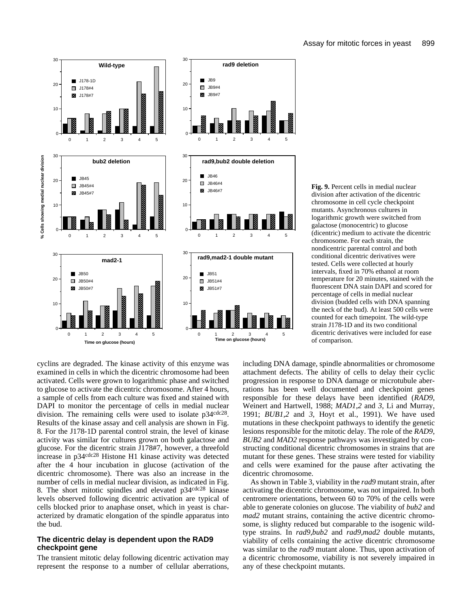

**Fig. 9.** Percent cells in medial nuclear division after activation of the dicentric chromosome in cell cycle checkpoint mutants. Asynchronous cultures in logarithmic growth were switched from galactose (monocentric) to glucose (dicentric) medium to activate the dicentric chromosome. For each strain, the nondicentric parental control and both conditional dicentric derivatives were tested. Cells were collected at hourly intervals, fixed in 70% ethanol at room temperature for 20 minutes, stained with the fluorescent DNA stain DAPI and scored for percentage of cells in medial nuclear division (budded cells with DNA spanning the neck of the bud). At least 500 cells were counted for each timepoint. The wild-type strain J178-1D and its two conditional dicentric derivatives were included for ease of comparison.

cyclins are degraded. The kinase activity of this enzyme was examined in cells in which the dicentric chromosome had been activated. Cells were grown to logarithmic phase and switched to glucose to activate the dicentric chromosome. After 4 hours, a sample of cells from each culture was fixed and stained with DAPI to monitor the percentage of cells in medial nuclear division. The remaining cells were used to isolate p34<sup>cdc28</sup>. Results of the kinase assay and cell analysis are shown in Fig. 8. For the J178-1D parental control strain, the level of kinase activity was similar for cultures grown on both galactose and glucose. For the dicentric strain J178#7, however, a threefold increase in p34<sup>cdc28</sup> Histone H1 kinase activity was detected after the 4 hour incubation in glucose (activation of the dicentric chromosome). There was also an increase in the number of cells in medial nuclear division, as indicated in Fig. 8. The short mitotic spindles and elevated p34<sup>cdc28</sup> kinase levels observed following dicentric activation are typical of cells blocked prior to anaphase onset, which in yeast is characterized by dramatic elongation of the spindle apparatus into the bud.

## **The dicentric delay is dependent upon the RAD9 checkpoint gene**

The transient mitotic delay following dicentric activation may represent the response to a number of cellular aberrations,

including DNA damage, spindle abnormalities or chromosome attachment defects. The ability of cells to delay their cyclic progression in response to DNA damage or microtubule aberrations has been well documented and checkpoint genes responsible for these delays have been identified (*RAD9*, Weinert and Hartwell, 1988; *MAD1*,*2* and *3*, Li and Murray, 1991; *BUB1*,*2* and *3*, Hoyt et al., 1991). We have used mutations in these checkpoint pathways to identify the genetic lesions responsible for the mitotic delay. The role of the *RAD9*, *BUB2* and *MAD2* response pathways was investigated by constructing conditional dicentric chromosomes in strains that are mutant for these genes. These strains were tested for viability and cells were examined for the pause after activating the dicentric chromosome.

As shown in Table 3, viability in the *rad9* mutant strain, after activating the dicentric chromosome, was not impaired. In both centromere orientations, between 60 to 70% of the cells were able to generate colonies on glucose. The viability of *bub2* and *mad2* mutant strains, containing the active dicentric chromosome, is slighty reduced but comparable to the isogenic wildtype strains. In *rad9*,*bub2* and *rad9*,*mad2* double mutants, viability of cells containing the active dicentric chromosome was similar to the *rad9* mutant alone. Thus, upon activation of a dicentric chromosome, viability is not severely impaired in any of these checkpoint mutants.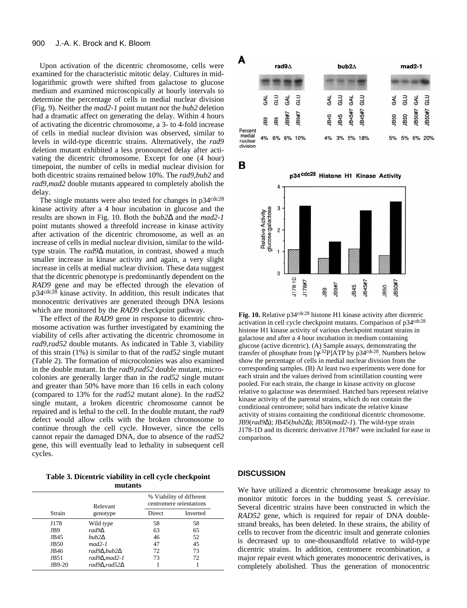Upon activation of the dicentric chromosome, cells were examined for the characteristic mitotic delay. Cultures in midlogarithmic growth were shifted from galactose to glucose medium and examined microscopically at hourly intervals to determine the percentage of cells in medial nuclear division (Fig. 9). Neither the *mad2-1* point mutant nor the *bub2* deletion had a dramatic affect on generating the delay. Within 4 hours of activating the dicentric chromosome, a 3- to 4-fold increase of cells in medial nuclear division was observed, similar to levels in wild-type dicentric strains. Alternatively, the *rad9* deletion mutant exhibited a less pronounced delay after activating the dicentric chromosome. Except for one (4 hour) timepoint, the number of cells in medial nuclear division for both dicentric strains remained below 10%. The *rad9*,*bub2* and *rad9*,*mad2* double mutants appeared to completely abolish the delay.

The single mutants were also tested for changes in p34<sup>cdc28</sup> kinase activity after a 4 hour incubation in glucose and the results are shown in Fig. 10. Both the *bub2*∆ and the *mad2-1* point mutants showed a threefold increase in kinase activity after activation of the dicentric chromosome, as well as an increase of cells in medial nuclear division, similar to the wildtype strain. The *rad9*∆ mutation, in contrast, showed a much smaller increase in kinase activity and again, a very slight increase in cells at medial nuclear division. These data suggest that the dicentric phenotype is predominantly dependent on the *RAD9* gene and may be effected through the elevation of  $p34<sup>cdc28</sup>$  kinase activity. In addition, this result indicates that monocentric derivatives are generated through DNA lesions which are monitored by the *RAD9* checkpoint pathway.

The effect of the *RAD9* gene in response to dicentric chromosome activation was further investigated by examining the viability of cells after activating the dicentric chromosome in *rad9*,*rad52* double mutants. As indicated in Table 3, viability of this strain (1%) is similar to that of the *rad52* single mutant (Table 2). The formation of microcolonies was also examined in the double mutant. In the *rad9*,*rad52* double mutant, microcolonies are generally larger than in the *rad52* single mutant and greater than 50% have more than 16 cells in each colony (compared to 13% for the *rad52* mutant alone). In the *rad52* single mutant, a broken dicentric chromosome cannot be repaired and is lethal to the cell. In the double mutant, the *rad9* defect would allow cells with the broken chromosome to continue through the cell cycle. However, since the cells cannot repair the damaged DNA, due to absence of the *rad52* gene, this will eventually lead to lethality in subsequent cell cycles.

**Table 3. Dicentric viability in cell cycle checkpoint mutants** 

|             | Relevant     | % Viability of different<br>centromere orientations |          |
|-------------|--------------|-----------------------------------------------------|----------|
| Strain      | genotype     | Direct                                              | Inverted |
| J178        | Wild type    | 58                                                  | 58       |
| JB9         | rad9A        | 63                                                  | 65       |
| JB45        | $bub2\Delta$ | 46                                                  | 52       |
| <b>JB50</b> | $mad2-1$     | 47                                                  | 45       |
| JB46        | rad9∆,bub2∆  | 72.                                                 | 73       |
| JB51        | rad9∆,mad2-1 | 73                                                  | 72       |
| JB9-20      | rad9∆.rad52∆ |                                                     |          |



Fig. 10. Relative p34<sup>cdc28</sup> histone H1 kinase activity after dicentric activation in cell cycle checkpoint mutants. Comparison of p34<sup>cdc28</sup> histone H1 kinase activity of various checkpoint mutant strains in galactose and after a 4 hour incubation in medium containing glucose (active dicentric). (A) Sample assays, demonstrating the transfer of phosphate from [γ-32P]ATP by p34cdc28. Numbers below show the percentage of cells in medial nuclear division from the corresponding samples. (B) At least two experiments were done for each strain and the values derived from scintillation counting were pooled. For each strain, the change in kinase activity on glucose relative to galactose was determined. Hatched bars represent relative kinase activity of the parental strains, which do not contain the conditional centromere; solid bars indicate the relative kinase activity of strains containing the conditional dicentric chromosome. JB9(*rad9*∆); JB45(*bub2*∆); JB50(*mad2-1*). The wild-type strain J178-1D and its dicentric derivative J178#7 were included for ease in comparison.

### **DISCUSSION**

We have utilized a dicentric chromosome breakage assay to monitor mitotic forces in the budding yeast *S. cerevisiae*. Several dicentric strains have been constructed in which the *RAD52* gene, which is required for repair of DNA doublestrand breaks, has been deleted. In these strains, the ability of cells to recover from the dicentric insult and generate colonies is decreased up to one-thousandfold relative to wild-type dicentric strains. In addition, centromere recombination, a major repair event which generates monocentric derivatives, is completely abolished. Thus the generation of monocentric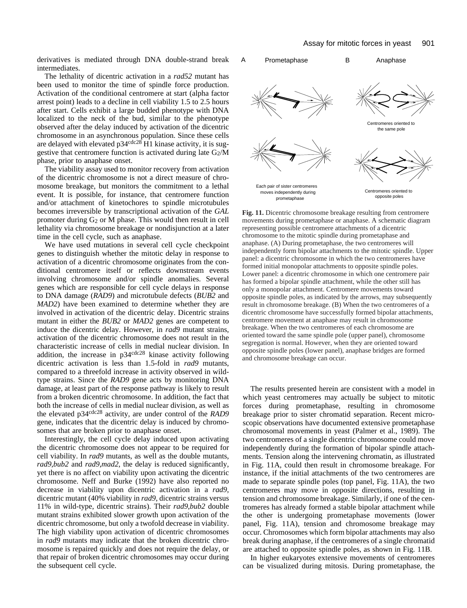derivatives is mediated through DNA double-strand break intermediates.

The lethality of dicentric activation in a *rad52* mutant has been used to monitor the time of spindle force production. Activation of the conditional centromere at start (alpha factor arrest point) leads to a decline in cell viability 1.5 to 2.5 hours after start. Cells exhibit a large budded phenotype with DNA localized to the neck of the bud, similar to the phenotype observed after the delay induced by activation of the dicentric chromosome in an asynchronous population. Since these cells are delayed with elevated  $p34^{\text{cdc28}}$  H1 kinase activity, it is suggestive that centromere function is activated during late G2/M phase, prior to anaphase onset.

The viability assay used to monitor recovery from activation of the dicentric chromosome is not a direct measure of chromosome breakage, but monitors the commitment to a lethal event. It is possible, for instance, that centromere function and/or attachment of kinetochores to spindle microtubules becomes irreversible by transcriptional activation of the *GAL* promoter during  $G_2$  or M phase. This would then result in cell lethality via chromosome breakage or nondisjunction at a later time in the cell cycle, such as anaphase.

We have used mutations in several cell cycle checkpoint genes to distinguish whether the mitotic delay in response to activation of a dicentric chromosome originates from the conditional centromere itself or reflects downstream events involving chromosome and/or spindle anomalies. Several genes which are responsible for cell cycle delays in response to DNA damage (*RAD9*) and microtubule defects (*BUB2* and *MAD2*) have been examined to determine whether they are involved in activation of the dicentric delay. Dicentric strains mutant in either the *BUB2* or *MAD2* genes are competent to induce the dicentric delay. However, in *rad9* mutant strains, activation of the dicentric chromosome does not result in the characteristic increase of cells in medial nuclear division. In addition, the increase in  $p34^{cdc28}$  kinase activity following dicentric activation is less than 1.5-fold in *rad9* mutants, compared to a threefold increase in activity observed in wildtype strains. Since the *RAD9* gene acts by monitoring DNA damage, at least part of the response pathway is likely to result from a broken dicentric chromosome. In addition, the fact that both the increase of cells in medial nuclear division, as well as the elevated p34<sup>cdc28</sup> activity, are under control of the *RAD9* gene, indicates that the dicentric delay is induced by chromosomes that are broken prior to anaphase onset.

Interestingly, the cell cycle delay induced upon activating the dicentric chromosome does not appear to be required for cell viability. In *rad9* mutants, as well as the double mutants, *rad9*,*bub2* and *rad9*,*mad2*, the delay is reduced significantly, yet there is no affect on viability upon activating the dicentric chromosome. Neff and Burke (1992) have also reported no decrease in viability upon dicentric activation in a *rad9*, dicentric mutant (40% viability in *rad9*, dicentric strains versus 11% in wild-type, dicentric strains). Their *rad9*,*bub2* double mutant strains exhibited slower growth upon activation of the dicentric chromosome, but only a twofold decrease in viability. The high viability upon activation of dicentric chromosomes in *rad9* mutants may indicate that the broken dicentric chromosome is repaired quickly and does not require the delay, or that repair of broken dicentric chromosomes may occur during the subsequent cell cycle.



**Fig. 11.** Dicentric chromosome breakage resulting from centromere movements during prometaphase or anaphase. A schematic diagram representing possible centromere attachments of a dicentric chromosome to the mitotic spindle during prometaphase and anaphase. (A) During prometaphase, the two centromeres will independently form bipolar attachments to the mitotic spindle. Upper panel: a dicentric chromosome in which the two centromeres have formed initial monopolar attachments to opposite spindle poles. Lower panel: a dicentric chromosome in which one centromere pair has formed a bipolar spindle attachment, while the other still has only a monopolar attachment. Centromere movements toward opposite spindle poles, as indicated by the arrows, may subsequently result in chromosome breakage. (B) When the two centromeres of a dicentric chromosome have successfully formed bipolar attachments, centromere movement at anaphase may result in chromosome breakage. When the two centromeres of each chromosome are oriented toward the same spindle pole (upper panel), chromosome segregation is normal. However, when they are oriented toward opposite spindle poles (lower panel), anaphase bridges are formed and chromosome breakage can occur.

The results presented herein are consistent with a model in which yeast centromeres may actually be subject to mitotic forces during prometaphase, resulting in chromosome breakage prior to sister chromatid separation. Recent microscopic observations have documented extensive prometaphase chromosomal movements in yeast (Palmer et al., 1989). The two centromeres of a single dicentric chromosome could move independently during the formation of bipolar spindle attachments. Tension along the intervening chromatin, as illustrated in Fig. 11A, could then result in chromosome breakage. For instance, if the initial attachments of the two centromeres are made to separate spindle poles (top panel, Fig. 11A), the two centromeres may move in opposite directions, resulting in tension and chromosome breakage. Similarly, if one of the centromeres has already formed a stable bipolar attachment while the other is undergoing prometaphase movements (lower panel, Fig. 11A), tension and chromosome breakage may occur. Chromosomes which form bipolar attachments may also break during anaphase, if the centromeres of a single chromatid are attached to opposite spindle poles, as shown in Fig. 11B.

In higher eukaryotes extensive movements of centromeres can be visualized during mitosis. During prometaphase, the